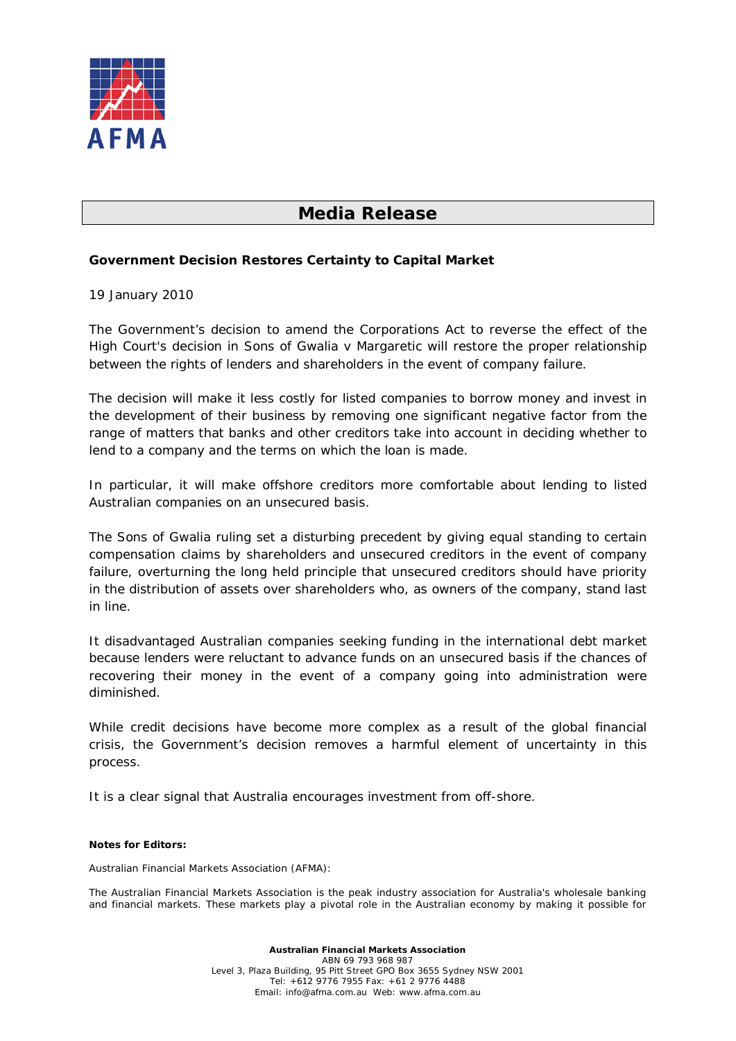

## **Media Release**

## **Government Decision Restores Certainty to Capital Market**

## 19 January 2010

The Government's decision to amend the Corporations Act to reverse the effect of the High Court's decision in *Sons of Gwalia v Margaretic* will restore the proper relationship between the rights of lenders and shareholders in the event of company failure.

The decision will make it less costly for listed companies to borrow money and invest in the development of their business by removing one significant negative factor from the range of matters that banks and other creditors take into account in deciding whether to lend to a company and the terms on which the loan is made.

In particular, it will make offshore creditors more comfortable about lending to listed Australian companies on an unsecured basis.

The Sons of Gwalia ruling set a disturbing precedent by giving equal standing to certain compensation claims by shareholders and unsecured creditors in the event of company failure, overturning the long held principle that unsecured creditors should have priority in the distribution of assets over shareholders who, as owners of the company, stand last in line.

It disadvantaged Australian companies seeking funding in the international debt market because lenders were reluctant to advance funds on an unsecured basis if the chances of recovering their money in the event of a company going into administration were diminished.

While credit decisions have become more complex as a result of the global financial crisis, the Government's decision removes a harmful element of uncertainty in this process.

It is a clear signal that Australia encourages investment from off-shore.

## **Notes for Editors:**

Australian Financial Markets Association (AFMA):

The Australian Financial Markets Association is the peak industry association for Australia's wholesale banking and financial markets. These markets play a pivotal role in the Australian economy by making it possible for

> **Australian Financial Markets Association** ABN 69 793 968 987 Level 3, Plaza Building, 95 Pitt Street GPO Box 3655 Sydney NSW 2001 Tel: +612 9776 7955 Fax: +61 2 9776 4488 Email: [info@afma.com.au](mailto:info@afma.com.au) Web: [www.afma.com.au](http://www.afma.com.au/)